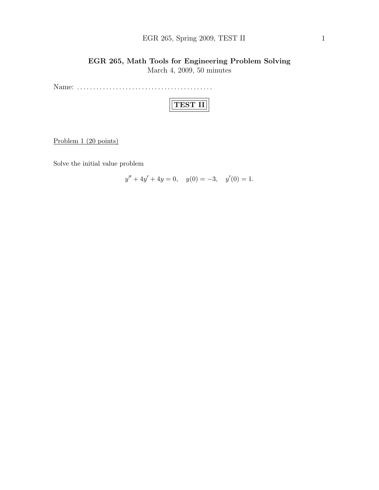## EGR 265, Spring 2009, TEST II 1

## EGR 265, Math Tools for Engineering Problem Solving March 4, 2009, 50 minutes

Name: . . . . . . . . . . . . . . . . . . . . . . . . . . . . . . . . . . . . . . . . . .

|--|

Problem 1 (20 points)

Solve the initial value problem

$$
y'' + 4y' + 4y = 0, \quad y(0) = -3, \quad y'(0) = 1.
$$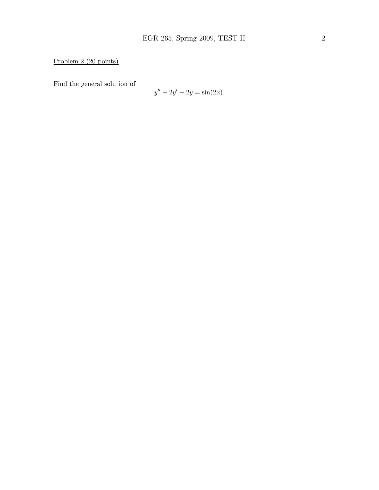Problem 2 (20 points)

Find the general solution of

$$
y'' - 2y' + 2y = \sin(2x).
$$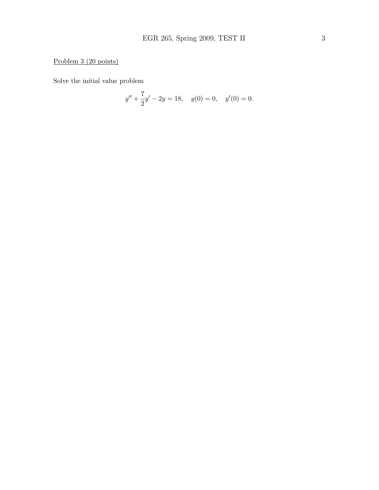## Problem 3 (20 points)

Solve the initial value problem

$$
y'' + \frac{7}{2}y' - 2y = 18, \quad y(0) = 0, \quad y'(0) = 0.
$$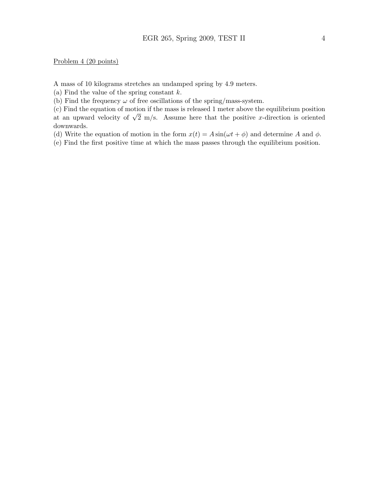Problem 4 (20 points)

A mass of 10 kilograms stretches an undamped spring by 4.9 meters.

(a) Find the value of the spring constant  $k$ .

(b) Find the frequency  $\omega$  of free oscillations of the spring/mass-system.

(c) Find the equation of motion if the mass is released 1 meter above the equilibrium position (c) Find the equation of motion if the mass is released 1 meter above the equilibrium position at an upward velocity of  $\sqrt{2}$  m/s. Assume here that the positive x-direction is oriented downwards.

(d) Write the equation of motion in the form  $x(t) = A \sin(\omega t + \phi)$  and determine A and  $\phi$ .

(e) Find the first positive time at which the mass passes through the equilibrium position.